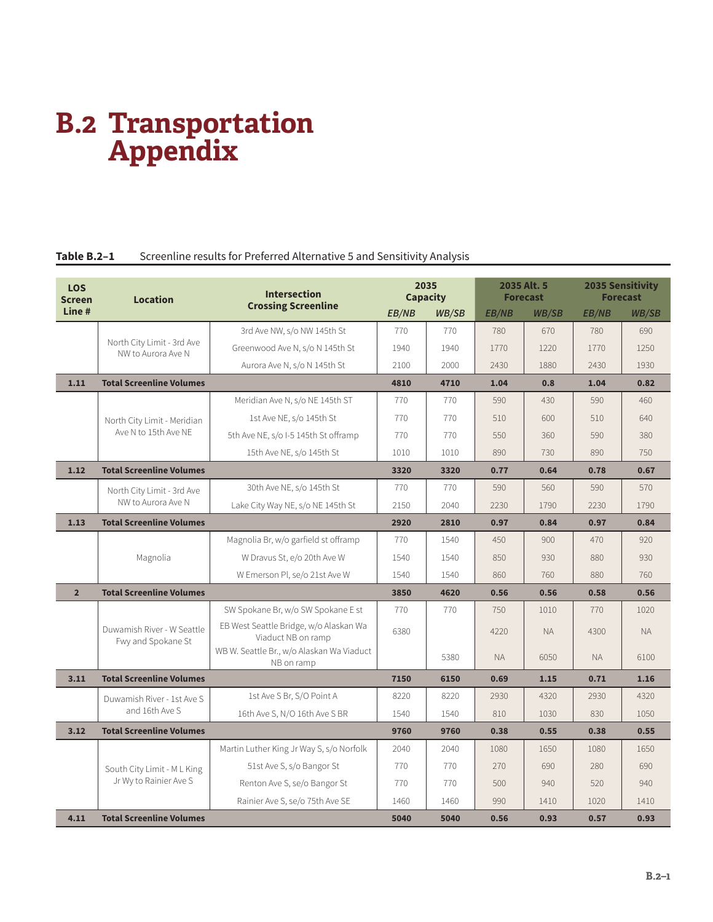# **B.2 Transportation Appendix**

# Table B.2-1 Screenline results for Preferred Alternative 5 and Sensitivity Analysis

| <b>LOS</b><br><b>Screen</b> | <b>Intersection</b><br><b>Location</b><br><b>Crossing Screenline</b> |                                                              | 2035<br><b>Capacity</b> |              | 2035 Alt. 5<br><b>Forecast</b> |              | <b>2035 Sensitivity</b><br><b>Forecast</b> |              |
|-----------------------------|----------------------------------------------------------------------|--------------------------------------------------------------|-------------------------|--------------|--------------------------------|--------------|--------------------------------------------|--------------|
| Line#                       |                                                                      |                                                              | EB/NB                   | <b>WB/SB</b> | <b>EB/NB</b>                   | <b>WB/SB</b> | <b>EB/NB</b>                               | <b>WB/SB</b> |
|                             |                                                                      | 3rd Ave NW, s/o NW 145th St                                  | 770                     | 770          | 780                            | 670          | 780                                        | 690          |
|                             | North City Limit - 3rd Ave<br>NW to Aurora Ave N                     | Greenwood Ave N, s/o N 145th St                              | 1940                    | 1940         | 1770                           | 1220         | 1770                                       | 1250         |
|                             |                                                                      | Aurora Ave N, s/o N 145th St                                 | 2100                    | 2000         | 2430                           | 1880         | 2430                                       | 1930         |
| 1.11                        | <b>Total Screenline Volumes</b>                                      |                                                              | 4810                    | 4710         | 1.04                           | 0.8          | 1.04                                       | 0.82         |
|                             |                                                                      | Meridian Ave N, s/o NE 145th ST                              | 770                     | 770          | 590                            | 430          | 590                                        | 460          |
|                             | North City Limit - Meridian                                          | 1st Ave NE, s/o 145th St                                     | 770                     | 770          | 510                            | 600          | 510                                        | 640          |
|                             | Ave N to 15th Ave NE                                                 | 5th Ave NE, s/o I-5 145th St offramp                         | 770                     | 770          | 550                            | 360          | 590                                        | 380          |
|                             |                                                                      | 15th Ave NE, s/o 145th St                                    | 1010                    | 1010         | 890                            | 730          | 890                                        | 750          |
| 1.12                        | <b>Total Screenline Volumes</b>                                      |                                                              | 3320                    | 3320         | 0.77                           | 0.64         | 0.78                                       | 0.67         |
|                             | North City Limit - 3rd Ave                                           | 30th Ave NE, s/o 145th St                                    | 770                     | 770          | 590                            | 560          | 590                                        | 570          |
|                             | NW to Aurora Ave N<br>Lake City Way NE, s/o NE 145th St              |                                                              | 2150                    | 2040         | 2230                           | 1790         | 2230                                       | 1790         |
| 1.13                        | <b>Total Screenline Volumes</b>                                      |                                                              | 2920                    | 2810         | 0.97                           | 0.84         | 0.97                                       | 0.84         |
|                             |                                                                      | Magnolia Br, w/o garfield st offramp                         | 770                     | 1540         | 450                            | 900          | 470                                        | 920          |
|                             | Magnolia                                                             | W Dravus St, e/o 20th Ave W                                  | 1540                    | 1540         | 850                            | 930          | 880                                        | 930          |
|                             |                                                                      | W Emerson Pl, se/o 21st Ave W                                | 1540                    | 1540         | 860                            | 760          | 880                                        | 760          |
| 2 <sup>2</sup>              | <b>Total Screenline Volumes</b>                                      |                                                              | 3850                    | 4620         | 0.56                           | 0.56         | 0.58                                       | 0.56         |
|                             |                                                                      | SW Spokane Br, w/o SW Spokane E st                           | 770                     | 770          | 750                            | 1010         | 770                                        | 1020         |
|                             | Duwamish River - W Seattle<br>Fwy and Spokane St                     | EB West Seattle Bridge, w/o Alaskan Wa<br>Viaduct NB on ramp | 6380                    |              | 4220                           | <b>NA</b>    | 4300                                       | <b>NA</b>    |
|                             |                                                                      | WB W. Seattle Br., w/o Alaskan Wa Viaduct<br>NB on ramp      |                         | 5380         | <b>NA</b>                      | 6050         | <b>NA</b>                                  | 6100         |
| 3.11                        | <b>Total Screenline Volumes</b>                                      |                                                              | 7150                    | 6150         | 0.69                           | 1.15         | 0.71                                       | 1.16         |
|                             | Duwamish River - 1st Ave S                                           | 1st Ave S Br, S/O Point A                                    | 8220                    | 8220         | 2930                           | 4320         | 2930                                       | 4320         |
|                             | and 16th Ave S                                                       | 16th Ave S, N/O 16th Ave S BR                                | 1540                    | 1540         | 810                            | 1030         | 830                                        | 1050         |
| 3.12                        | <b>Total Screenline Volumes</b>                                      |                                                              | 9760                    | 9760         | 0.38                           | 0.55         | 0.38                                       | 0.55         |
|                             |                                                                      | Martin Luther King Jr Way S, s/o Norfolk                     | 2040                    | 2040         | 1080                           | 1650         | 1080                                       | 1650         |
|                             | South City Limit - M L King                                          | 51st Ave S, s/o Bangor St                                    | 770                     | 770          | 270                            | 690          | 280                                        | 690          |
|                             | Jr Wy to Rainier Ave S                                               | Renton Ave S, se/o Bangor St                                 | 770                     | 770          | 500                            | 940          | 520                                        | 940          |
|                             |                                                                      | Rainier Ave S, se/o 75th Ave SE                              | 1460                    | 1460         | 990                            | 1410         | 1020                                       | 1410         |
| 4.11                        | <b>Total Screenline Volumes</b>                                      |                                                              | 5040                    | 5040         | 0.56                           | 0.93         | 0.57                                       | 0.93         |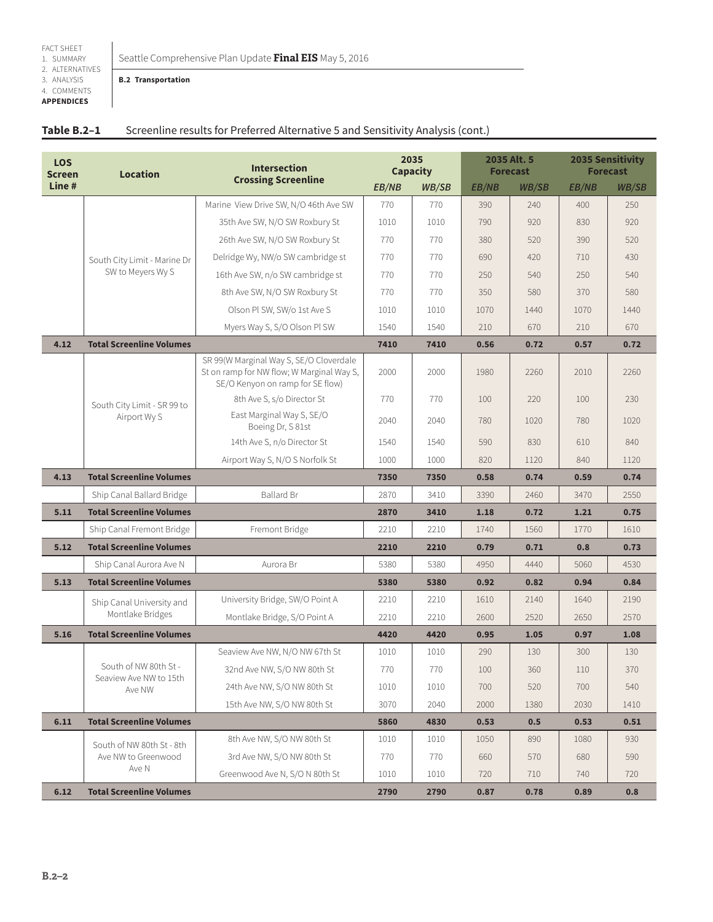3. ANALYSIS 4. COMMENTS **APPENDICES**

#### **B.2 Transportation**

| Table B.2-1 | Screenline results for Preferred Alternative 5 and Sensitivity Analysis (cont.) |
|-------------|---------------------------------------------------------------------------------|
|-------------|---------------------------------------------------------------------------------|

| <b>LOS</b><br><b>Screen</b> | <b>Location</b>                                 | <b>Intersection</b><br><b>Crossing Screenline</b>                                                                        | 2035<br><b>Capacity</b> |       |       | 2035 Alt. 5<br><b>Forecast</b> |              | <b>2035 Sensitivity</b><br><b>Forecast</b> |
|-----------------------------|-------------------------------------------------|--------------------------------------------------------------------------------------------------------------------------|-------------------------|-------|-------|--------------------------------|--------------|--------------------------------------------|
| Line#                       |                                                 |                                                                                                                          | <b>EB/NB</b>            | WB/SB | EB/NB | <b>WB/SB</b>                   | <b>EB/NB</b> | <b>WB/SB</b>                               |
|                             |                                                 | Marine View Drive SW, N/O 46th Ave SW                                                                                    | 770                     | 770   | 390   | 240                            | 400          | 250                                        |
|                             |                                                 | 35th Ave SW, N/O SW Roxbury St                                                                                           | 1010                    | 1010  | 790   | 920                            | 830          | 920                                        |
|                             |                                                 | 26th Ave SW, N/O SW Roxbury St                                                                                           | 770                     | 770   | 380   | 520                            | 390          | 520                                        |
|                             | South City Limit - Marine Dr                    | Delridge Wy, NW/o SW cambridge st                                                                                        | 770                     | 770   | 690   | 420                            | 710          | 430                                        |
|                             | SW to Meyers Wy S                               | 16th Ave SW, n/o SW cambridge st                                                                                         | 770                     | 770   | 250   | 540                            | 250          | 540                                        |
|                             |                                                 | 8th Ave SW, N/O SW Roxbury St                                                                                            | 770                     | 770   | 350   | 580                            | 370          | 580                                        |
|                             |                                                 | Olson Pl SW, SW/o 1st Ave S                                                                                              | 1010                    | 1010  | 1070  | 1440                           | 1070         | 1440                                       |
|                             |                                                 | Myers Way S, S/O Olson Pl SW                                                                                             | 1540                    | 1540  | 210   | 670                            | 210          | 670                                        |
| 4.12                        | <b>Total Screenline Volumes</b>                 |                                                                                                                          | 7410                    | 7410  | 0.56  | 0.72                           | 0.57         | 0.72                                       |
|                             |                                                 | SR 99(W Marginal Way S, SE/O Cloverdale<br>St on ramp for NW flow; W Marginal Way S,<br>SE/O Kenyon on ramp for SE flow) | 2000                    | 2000  | 1980  | 2260                           | 2010         | 2260                                       |
|                             | South City Limit - SR 99 to<br>Airport Wy S     | 8th Ave S, s/o Director St                                                                                               | 770                     | 770   | 100   | 220                            | 100          | 230                                        |
|                             |                                                 | East Marginal Way S, SE/O<br>Boeing Dr, S 81st                                                                           | 2040                    | 2040  | 780   | 1020                           | 780          | 1020                                       |
|                             |                                                 | 14th Ave S, n/o Director St                                                                                              | 1540                    | 1540  | 590   | 830                            | 610          | 840                                        |
|                             |                                                 | Airport Way S, N/O S Norfolk St                                                                                          | 1000                    | 1000  | 820   | 1120                           | 840          | 1120                                       |
| 4.13                        | <b>Total Screenline Volumes</b>                 |                                                                                                                          | 7350                    | 7350  | 0.58  | 0.74                           | 0.59         | 0.74                                       |
|                             | Ship Canal Ballard Bridge                       | <b>Ballard Br</b>                                                                                                        | 2870                    | 3410  | 3390  | 2460                           | 3470         | 2550                                       |
| 5.11                        | <b>Total Screenline Volumes</b>                 |                                                                                                                          | 2870                    | 3410  | 1.18  | 0.72                           | 1.21         | 0.75                                       |
|                             | Ship Canal Fremont Bridge                       | Fremont Bridge                                                                                                           | 2210                    | 2210  | 1740  | 1560                           | 1770         | 1610                                       |
| 5.12                        | <b>Total Screenline Volumes</b>                 |                                                                                                                          | 2210                    | 2210  | 0.79  | 0.71                           | 0.8          | 0.73                                       |
|                             | Ship Canal Aurora Ave N                         | Aurora Br                                                                                                                | 5380                    | 5380  | 4950  | 4440                           | 5060         | 4530                                       |
| 5.13                        | <b>Total Screenline Volumes</b>                 |                                                                                                                          | 5380                    | 5380  | 0.92  | 0.82                           | 0.94         | 0.84                                       |
|                             | Ship Canal University and                       | University Bridge, SW/O Point A                                                                                          | 2210                    | 2210  | 1610  | 2140                           | 1640         | 2190                                       |
|                             | Montlake Bridges                                | Montlake Bridge, S/O Point A                                                                                             | 2210                    | 2210  | 2600  | 2520                           | 2650         | 2570                                       |
| 5.16                        | <b>Total Screenline Volumes</b>                 |                                                                                                                          | 4420                    | 4420  | 0.95  | 1.05                           | 0.97         | 1.08                                       |
|                             |                                                 | Seaview Ave NW, N/O NW 67th St                                                                                           | 1010                    | 1010  | 290   | 130                            | 300          | 130                                        |
|                             | South of NW 80th St -<br>Seaview Ave NW to 15th | 32nd Ave NW, S/O NW 80th St                                                                                              | 770                     | 770   | 100   | 360                            | <b>110</b>   | 370                                        |
|                             | Ave NW                                          | 24th Ave NW, S/O NW 80th St                                                                                              | 1010                    | 1010  | 700   | 520                            | 700          | 540                                        |
|                             |                                                 | 15th Ave NW, S/O NW 80th St                                                                                              | 3070                    | 2040  | 2000  | 1380                           | 2030         | 1410                                       |
| 6.11                        | <b>Total Screenline Volumes</b>                 |                                                                                                                          | 5860                    | 4830  | 0.53  | 0.5                            | 0.53         | 0.51                                       |
|                             | South of NW 80th St - 8th                       | 8th Ave NW, S/O NW 80th St                                                                                               | 1010                    | 1010  | 1050  | 890                            | 1080         | 930                                        |
|                             | Ave NW to Greenwood                             | 3rd Ave NW, S/O NW 80th St                                                                                               | 770                     | 770   | 660   | 570                            | 680          | 590                                        |
|                             | Ave N                                           | Greenwood Ave N, S/O N 80th St                                                                                           | 1010                    | 1010  | 720   | 710                            | 740          | 720                                        |
| 6.12                        | <b>Total Screenline Volumes</b>                 |                                                                                                                          | 2790                    | 2790  | 0.87  | 0.78                           | 0.89         | 0.8                                        |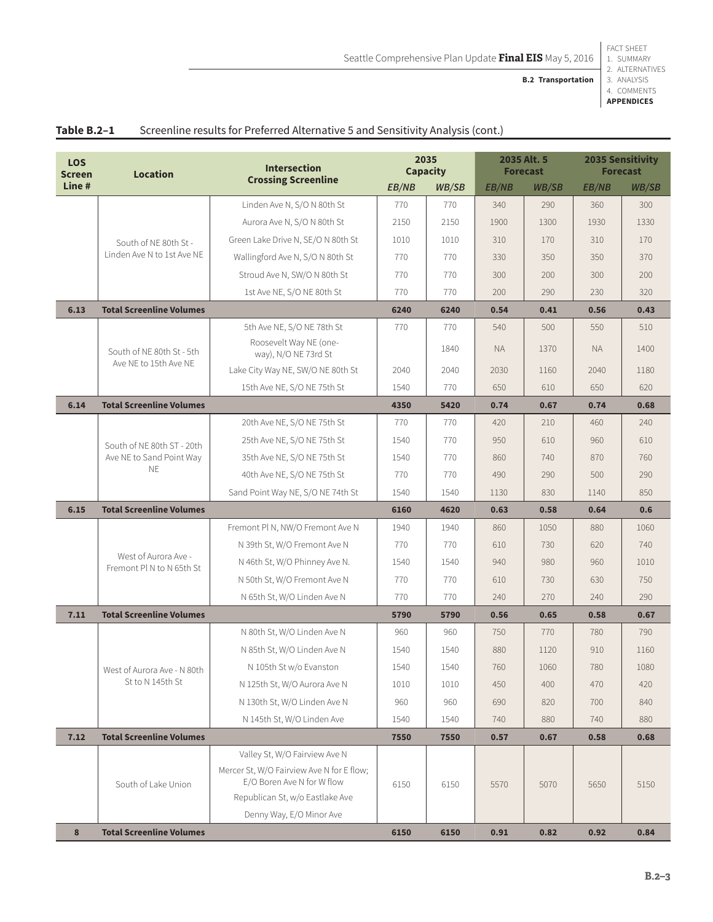**B.2 Transportation**

2. ALTERNATIVES 3. ANALYSIS 4. COMMENTS **APPENDICES**

| <b>LOS</b><br><b>Screen</b> | <b>Location</b>                                                     | <b>Intersection</b>                                                                                      |       | 2035<br><b>Capacity</b> |              | 2035 Alt. 5<br><b>Forecast</b> | <b>2035 Sensitivity</b><br><b>Forecast</b> |       |
|-----------------------------|---------------------------------------------------------------------|----------------------------------------------------------------------------------------------------------|-------|-------------------------|--------------|--------------------------------|--------------------------------------------|-------|
| Line#                       |                                                                     | <b>Crossing Screenline</b>                                                                               | EB/NB | WB/SB                   | <b>EB/NB</b> | <b>WB/SB</b>                   | EB/NB                                      | WB/SB |
|                             |                                                                     | Linden Ave N, S/O N 80th St                                                                              | 770   | 770                     | 340          | 290                            | 360                                        | 300   |
|                             |                                                                     | Aurora Ave N, S/O N 80th St                                                                              | 2150  | 2150                    | 1900         | 1300                           | 1930                                       | 1330  |
|                             | South of NE 80th St -                                               | Green Lake Drive N, SE/O N 80th St                                                                       | 1010  | 1010                    | 310          | 170                            | 310                                        | 170   |
|                             | Linden Ave N to 1st Ave NE                                          | Wallingford Ave N, S/O N 80th St                                                                         | 770   | 770                     | 330          | 350                            | 350                                        | 370   |
|                             |                                                                     | Stroud Ave N, SW/O N 80th St                                                                             | 770   | 770                     | 300          | 200                            | 300                                        | 200   |
|                             |                                                                     | 1st Ave NE, S/O NE 80th St                                                                               | 770   | 770                     | 200          | 290                            | 230                                        | 320   |
| 6.13                        | <b>Total Screenline Volumes</b>                                     |                                                                                                          | 6240  | 6240                    | 0.54         | 0.41                           | 0.56                                       | 0.43  |
|                             |                                                                     | 5th Ave NE, S/O NE 78th St                                                                               | 770   | 770                     | 540          | 500                            | 550                                        | 510   |
|                             | South of NE 80th St - 5th                                           | Roosevelt Way NE (one-<br>way), N/O NE 73rd St                                                           |       | 1840                    | <b>NA</b>    | 1370                           | <b>NA</b>                                  | 1400  |
|                             | Ave NE to 15th Ave NE                                               | Lake City Way NE, SW/O NE 80th St                                                                        | 2040  | 2040                    | 2030         | 1160                           | 2040                                       | 1180  |
|                             |                                                                     | 15th Ave NE, S/O NE 75th St                                                                              | 1540  | 770                     | 650          | 610                            | 650                                        | 620   |
| 6.14                        | <b>Total Screenline Volumes</b>                                     |                                                                                                          | 4350  | 5420                    | 0.74         | 0.67                           | 0.74                                       | 0.68  |
|                             |                                                                     | 20th Ave NE, S/O NE 75th St                                                                              | 770   | 770                     | 420          | 210                            | 460                                        | 240   |
|                             | South of NF 80th ST - 20th<br>Ave NE to Sand Point Way<br><b>NE</b> | 25th Ave NE, S/O NE 75th St                                                                              | 1540  | 770                     | 950          | 610                            | 960                                        | 610   |
|                             |                                                                     | 35th Ave NE, S/O NE 75th St                                                                              | 1540  | 770                     | 860          | 740                            | 870                                        | 760   |
|                             |                                                                     | 40th Ave NE, S/O NE 75th St                                                                              | 770   | 770                     | 490          | 290                            | 500                                        | 290   |
|                             |                                                                     | Sand Point Way NE, S/O NE 74th St                                                                        | 1540  | 1540                    | 1130         | 830                            | 1140                                       | 850   |
| 6.15                        | <b>Total Screenline Volumes</b>                                     |                                                                                                          | 6160  | 4620                    | 0.63         | 0.58                           | 0.64                                       | 0.6   |
|                             |                                                                     | Fremont Pl N, NW/O Fremont Ave N                                                                         | 1940  | 1940                    | 860          | 1050                           | 880                                        | 1060  |
|                             | West of Aurora Ave -                                                | N 39th St, W/O Fremont Ave N                                                                             | 770   | 770                     | 610          | 730                            | 620                                        | 740   |
|                             | Fremont Pl N to N 65th St                                           | N 46th St, W/O Phinney Ave N.                                                                            | 1540  | 1540                    | 940          | 980                            | 960                                        | 1010  |
|                             |                                                                     | N 50th St, W/O Fremont Ave N                                                                             | 770   | 770                     | 610          | 730                            | 630                                        | 750   |
|                             |                                                                     | N 65th St, W/O Linden Ave N                                                                              | 770   | 770                     | 240          | 270                            | 240                                        | 290   |
| 7.11                        | <b>Total Screenline Volumes</b>                                     |                                                                                                          | 5790  | 5790                    | 0.56         | 0.65                           | 0.58                                       | 0.67  |
|                             |                                                                     | N 80th St, W/O Linden Ave N                                                                              | 960   | 960                     | 750          | 770                            | 780                                        | 790   |
|                             |                                                                     | N 85th St, W/O Linden Ave N                                                                              | 1540  | 1540                    | 880          | 1120                           | 910                                        | 1160  |
|                             | West of Aurora Ave - N 80th                                         | N 105th St w/o Evanston                                                                                  | 1540  | 1540                    | 760          | 1060                           | 780                                        | 1080  |
|                             | St to N 145th St                                                    | N 125th St, W/O Aurora Ave N                                                                             | 1010  | 1010                    | 450          | 400                            | 470                                        | 420   |
|                             |                                                                     | N 130th St, W/O Linden Ave N                                                                             | 960   | 960                     | 690          | 820                            | 700                                        | 840   |
|                             |                                                                     | N 145th St, W/O Linden Ave                                                                               | 1540  | 1540                    | 740          | 880                            | 740                                        | 880   |
| 7.12                        | <b>Total Screenline Volumes</b>                                     |                                                                                                          | 7550  | 7550                    | 0.57         | 0.67                           | 0.58                                       | 0.68  |
|                             | South of Lake Union                                                 | Valley St, W/O Fairview Ave N<br>Mercer St, W/O Fairview Ave N for E flow;<br>E/O Boren Ave N for W flow | 6150  | 6150                    | 5570         | 5070                           | 5650                                       | 5150  |
|                             |                                                                     | Republican St, w/o Eastlake Ave                                                                          |       |                         |              |                                |                                            |       |
|                             |                                                                     | Denny Way, E/O Minor Ave                                                                                 |       |                         |              |                                |                                            |       |
| 8                           | <b>Total Screenline Volumes</b>                                     |                                                                                                          | 6150  | 6150                    | 0.91         | 0.82                           | 0.92                                       | 0.84  |

# Table B.2-1 Screenline results for Preferred Alternative 5 and Sensitivity Analysis (cont.)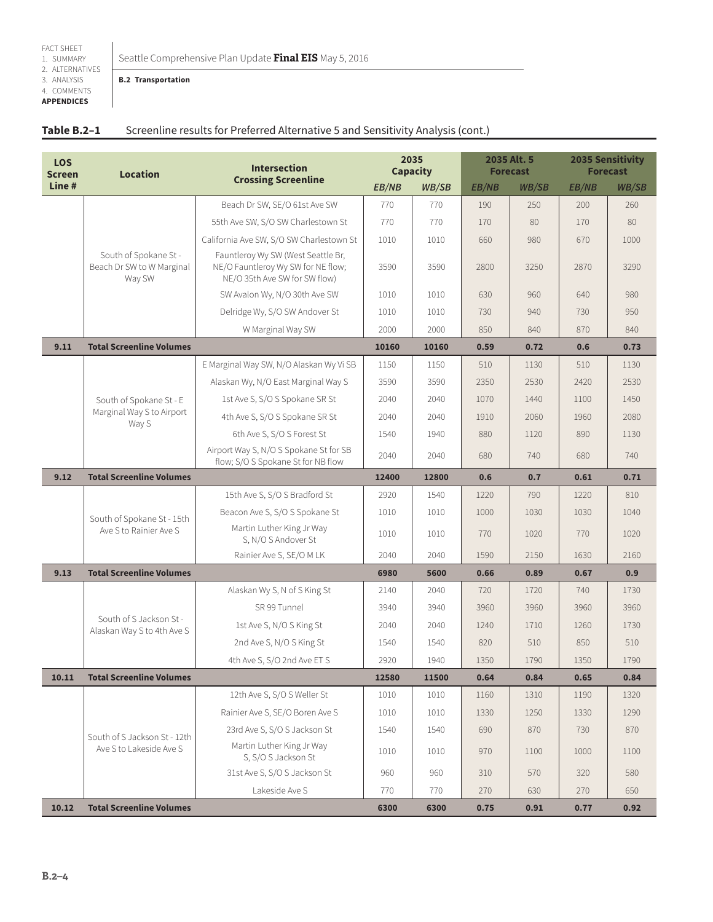3. ANALYSIS 4. COMMENTS **APPENDICES**

#### **B.2 Transportation**

| Table B.2-1 | Screenline results for Preferred Alternative 5 and Sensitivity Analysis (cont.) |
|-------------|---------------------------------------------------------------------------------|
|-------------|---------------------------------------------------------------------------------|

| <b>LOS</b><br><b>Screen</b> | <b>Intersection</b><br><b>Location</b>                       |                                                                                                           |       | 2035<br><b>Capacity</b> |              | 2035 Alt. 5<br><b>Forecast</b> |       | <b>2035 Sensitivity</b><br><b>Forecast</b> |  |
|-----------------------------|--------------------------------------------------------------|-----------------------------------------------------------------------------------------------------------|-------|-------------------------|--------------|--------------------------------|-------|--------------------------------------------|--|
| Line#                       |                                                              | <b>Crossing Screenline</b><br>EB/NB                                                                       |       | WB/SB                   | <b>EB/NB</b> | <b>WB/SB</b>                   | EB/NB | WB/SB                                      |  |
|                             |                                                              | Beach Dr SW, SE/O 61st Ave SW                                                                             | 770   | 770                     | 190          | 250                            | 200   | 260                                        |  |
|                             |                                                              | 55th Ave SW, S/O SW Charlestown St                                                                        | 770   | 770                     | 170          | 80                             | 170   | 80                                         |  |
|                             |                                                              | California Ave SW, S/O SW Charlestown St                                                                  | 1010  | 1010                    | 660          | 980                            | 670   | 1000                                       |  |
|                             | South of Spokane St -<br>Beach Dr SW to W Marginal<br>Way SW | Fauntleroy Wy SW (West Seattle Br,<br>NE/O Fauntleroy Wy SW for NE flow;<br>NE/O 35th Ave SW for SW flow) | 3590  | 3590                    | 2800         | 3250                           | 2870  | 3290                                       |  |
|                             |                                                              | SW Avalon Wy, N/O 30th Ave SW                                                                             | 1010  | 1010                    | 630          | 960                            | 640   | 980                                        |  |
|                             |                                                              | Delridge Wy, S/O SW Andover St                                                                            | 1010  | 1010                    | 730          | 940                            | 730   | 950                                        |  |
|                             |                                                              | W Marginal Way SW                                                                                         | 2000  | 2000                    | 850          | 840                            | 870   | 840                                        |  |
| 9.11                        | <b>Total Screenline Volumes</b>                              |                                                                                                           | 10160 | 10160                   | 0.59         | 0.72                           | 0.6   | 0.73                                       |  |
|                             |                                                              | E Marginal Way SW, N/O Alaskan Wy Vi SB                                                                   | 1150  | 1150                    | 510          | 1130                           | 510   | 1130                                       |  |
|                             |                                                              | Alaskan Wy, N/O East Marginal Way S                                                                       | 3590  | 3590                    | 2350         | 2530                           | 2420  | 2530                                       |  |
|                             | South of Spokane St - E                                      | 1st Ave S, S/O S Spokane SR St                                                                            | 2040  | 2040                    | 1070         | 1440                           | 1100  | 1450                                       |  |
|                             | Marginal Way S to Airport<br>Way S                           | 4th Ave S, S/O S Spokane SR St                                                                            | 2040  | 2040                    | 1910         | 2060                           | 1960  | 2080                                       |  |
|                             |                                                              | 6th Ave S, S/O S Forest St                                                                                | 1540  | 1940                    | 880          | 1120                           | 890   | 1130                                       |  |
|                             |                                                              | Airport Way S, N/O S Spokane St for SB<br>flow; S/O S Spokane St for NB flow                              | 2040  | 2040                    | 680          | 740                            | 680   | 740                                        |  |
| 9.12                        | <b>Total Screenline Volumes</b>                              |                                                                                                           | 12400 | 12800                   | 0.6          | 0.7                            | 0.61  | 0.71                                       |  |
|                             |                                                              | 15th Ave S, S/O S Bradford St                                                                             | 2920  | 1540                    | 1220         | 790                            | 1220  | 810                                        |  |
|                             | South of Spokane St - 15th                                   | Beacon Ave S, S/O S Spokane St                                                                            | 1010  | 1010                    | 1000         | 1030                           | 1030  | 1040                                       |  |
|                             | Ave S to Rainier Ave S                                       | Martin Luther King Jr Way<br>S, N/O S Andover St                                                          | 1010  | 1010                    | 770          | 1020                           | 770   | 1020                                       |  |
|                             |                                                              | Rainier Ave S, SE/O M LK                                                                                  | 2040  | 2040                    | 1590         | 2150                           | 1630  | 2160                                       |  |
| 9.13                        | <b>Total Screenline Volumes</b>                              |                                                                                                           | 6980  | 5600                    | 0.66         | 0.89                           | 0.67  | 0.9                                        |  |
|                             |                                                              | Alaskan Wy S, N of S King St                                                                              | 2140  | 2040                    | 720          | 1720                           | 740   | 1730                                       |  |
|                             | South of S Jackson St -                                      | SR 99 Tunnel                                                                                              | 3940  | 3940                    | 3960         | 3960                           | 3960  | 3960                                       |  |
|                             | Alaskan Way S to 4th Ave S                                   | 1st Ave S, N/O S King St                                                                                  | 2040  | 2040                    | 1240         | 1710                           | 1260  | 1730                                       |  |
|                             |                                                              | 2nd Ave S, N/O S King St                                                                                  | 1540  | 1540                    | 820          | 510                            | 850   | 510                                        |  |
|                             |                                                              | 4th Ave S, S/O 2nd Ave ET S                                                                               | 2920  | 1940                    | 1350         | 1790                           | 1350  | 1790                                       |  |
| 10.11                       | <b>Total Screenline Volumes</b>                              |                                                                                                           | 12580 | 11500                   | 0.64         | 0.84                           | 0.65  | 0.84                                       |  |
|                             |                                                              | 12th Ave S, S/O S Weller St                                                                               | 1010  | 1010                    | 1160         | 1310                           | 1190  | 1320                                       |  |
|                             |                                                              | Rainier Ave S, SE/O Boren Ave S                                                                           | 1010  | 1010                    | 1330         | 1250                           | 1330  | 1290                                       |  |
|                             | South of S Jackson St - 12th                                 | 23rd Ave S, S/O S Jackson St                                                                              | 1540  | 1540                    | 690          | 870                            | 730   | 870                                        |  |
|                             | Ave S to Lakeside Ave S                                      | Martin Luther King Jr Way<br>S, S/O S Jackson St                                                          | 1010  | 1010                    | 970          | 1100                           | 1000  | 1100                                       |  |
|                             |                                                              | 31st Ave S, S/O S Jackson St                                                                              | 960   | 960                     | 310          | 570                            | 320   | 580                                        |  |
|                             |                                                              | Lakeside Ave S                                                                                            | 770   | 770                     | 270          | 630                            | 270   | 650                                        |  |
| 10.12                       | <b>Total Screenline Volumes</b>                              |                                                                                                           | 6300  | 6300                    | 0.75         | 0.91                           | 0.77  | 0.92                                       |  |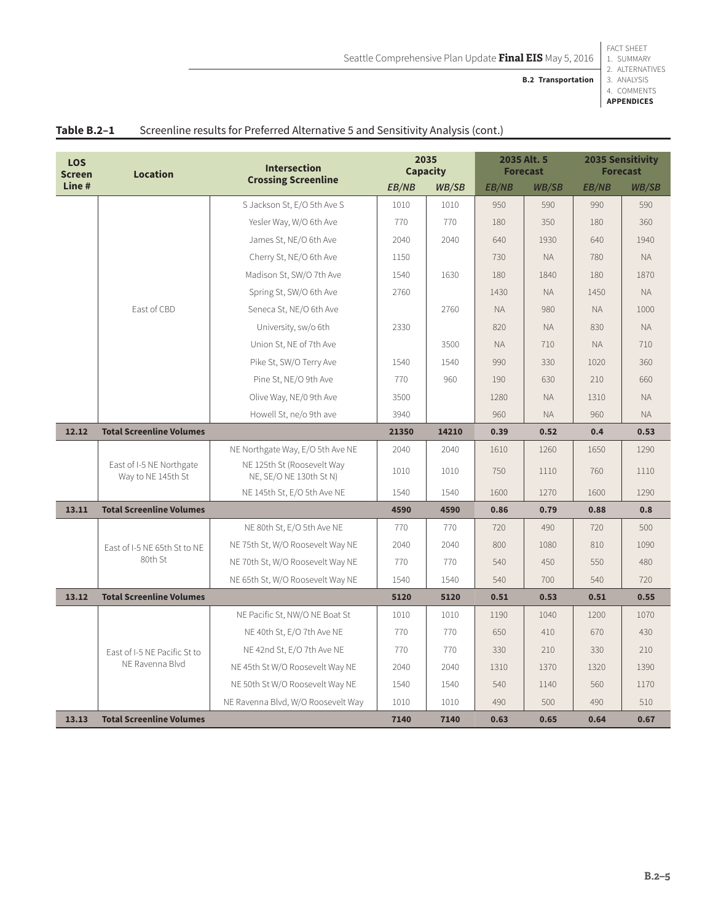Seattle Comprehensive Plan Update **Final EIS** May 5, 2016

2. ALTERNATIVES

3. ANALYSIS **B.2 Transportation**

4. COMMENTS **APPENDICES**

| <b>LOS</b><br><b>Screen</b> | <b>Location</b>                                | <b>Intersection</b>                                   |       | 2035<br><b>Capacity</b> |              | 2035 Alt. 5<br><b>Forecast</b> |              | <b>2035 Sensitivity</b><br><b>Forecast</b> |
|-----------------------------|------------------------------------------------|-------------------------------------------------------|-------|-------------------------|--------------|--------------------------------|--------------|--------------------------------------------|
| Line#                       |                                                | <b>Crossing Screenline</b>                            | EB/NB | <b>WB/SB</b>            | <b>EB/NB</b> | <b>WB/SB</b>                   | <b>EB/NB</b> | <b>WB/SB</b>                               |
|                             |                                                | S Jackson St, E/O 5th Ave S                           | 1010  | 1010                    | 950          | 590                            | 990          | 590                                        |
|                             |                                                | Yesler Way, W/O 6th Ave                               | 770   | 770                     | 180          | 350                            | 180          | 360                                        |
|                             |                                                | James St, NE/O 6th Ave                                | 2040  | 2040                    | 640          | 1930                           | 640          | 1940                                       |
|                             |                                                | Cherry St, NE/O 6th Ave                               | 1150  |                         | 730          | <b>NA</b>                      | 780          | <b>NA</b>                                  |
|                             |                                                | Madison St, SW/O 7th Ave                              | 1540  | 1630                    | 180          | 1840                           | 180          | 1870                                       |
|                             |                                                | Spring St, SW/O 6th Ave                               | 2760  |                         | 1430         | <b>NA</b>                      | 1450         | <b>NA</b>                                  |
|                             | East of CBD                                    | Seneca St, NE/O 6th Ave                               |       | 2760                    | <b>NA</b>    | 980                            | <b>NA</b>    | 1000                                       |
|                             |                                                | University, sw/o 6th                                  | 2330  |                         | 820          | <b>NA</b>                      | 830          | <b>NA</b>                                  |
|                             |                                                | Union St, NE of 7th Ave                               |       | 3500                    | <b>NA</b>    | 710                            | <b>NA</b>    | 710                                        |
|                             |                                                | Pike St, SW/O Terry Ave                               | 1540  | 1540                    | 990          | 330                            | 1020         | 360                                        |
|                             |                                                | Pine St, NE/O 9th Ave                                 | 770   | 960                     | 190          | 630                            | 210          | 660                                        |
|                             |                                                | Olive Way, NE/0 9th Ave                               | 3500  |                         | 1280         | <b>NA</b>                      | 1310         | <b>NA</b>                                  |
|                             |                                                | Howell St, ne/o 9th ave                               | 3940  |                         | 960          | <b>NA</b>                      | 960          | <b>NA</b>                                  |
| 12.12                       | <b>Total Screenline Volumes</b>                |                                                       |       | 14210                   | 0.39         | 0.52                           | 0.4          | 0.53                                       |
|                             |                                                | NE Northgate Way, E/O 5th Ave NE                      | 2040  | 2040                    | 1610         | 1260                           | 1650         | 1290                                       |
|                             | East of I-5 NE Northgate<br>Way to NE 145th St | NE 125th St (Roosevelt Way<br>NE, SE/O NE 130th St N) | 1010  | 1010                    | 750          | 1110                           | 760          | 1110                                       |
|                             |                                                | NE 145th St, E/O 5th Ave NE                           | 1540  | 1540                    | 1600         | 1270                           | 1600         | 1290                                       |
| 13.11                       | <b>Total Screenline Volumes</b>                |                                                       | 4590  | 4590                    | 0.86         | 0.79                           | 0.88         | 0.8                                        |
|                             |                                                | NE 80th St, E/O 5th Ave NE                            | 770   | 770                     | 720          | 490                            | 720          | 500                                        |
|                             | East of I-5 NE 65th St to NE                   | NE 75th St, W/O Roosevelt Way NE                      | 2040  | 2040                    | 800          | 1080                           | 810          | 1090                                       |
|                             | 80th St                                        | NE 70th St, W/O Roosevelt Way NE                      | 770   | 770                     | 540          | 450                            | 550          | 480                                        |
|                             |                                                | NE 65th St, W/O Roosevelt Way NE                      | 1540  | 1540                    | 540          | 700                            | 540          | 720                                        |
| 13.12                       | <b>Total Screenline Volumes</b>                |                                                       | 5120  | 5120                    | 0.51         | 0.53                           | 0.51         | 0.55                                       |
|                             |                                                | NE Pacific St, NW/O NE Boat St                        | 1010  | 1010                    | 1190         | 1040                           | 1200         | 1070                                       |
|                             |                                                | NE 40th St, E/O 7th Ave NE                            | 770   | 770                     | 650          | 410                            | 670          | 430                                        |
|                             | Fast of I-5 NF Pacific St to                   | NE 42nd St, E/O 7th Ave NE                            | 770   | 770                     | 330          | 210                            | 330          | 210                                        |
|                             | NE Ravenna Blvd                                | NE 45th St W/O Roosevelt Way NE                       | 2040  | 2040                    | 1310         | 1370                           | 1320         | 1390                                       |
|                             |                                                | NE 50th St W/O Roosevelt Way NE                       | 1540  | 1540                    | 540          | 1140                           | 560          | 1170                                       |
|                             |                                                | NE Ravenna Blvd, W/O Roosevelt Way                    | 1010  | 1010                    | 490          | 500                            | 490          | 510                                        |
| 13.13                       | <b>Total Screenline Volumes</b>                |                                                       | 7140  | 7140                    | 0.63         | 0.65                           | 0.64         | 0.67                                       |

# Table B.2-1 Screenline results for Preferred Alternative 5 and Sensitivity Analysis (cont.)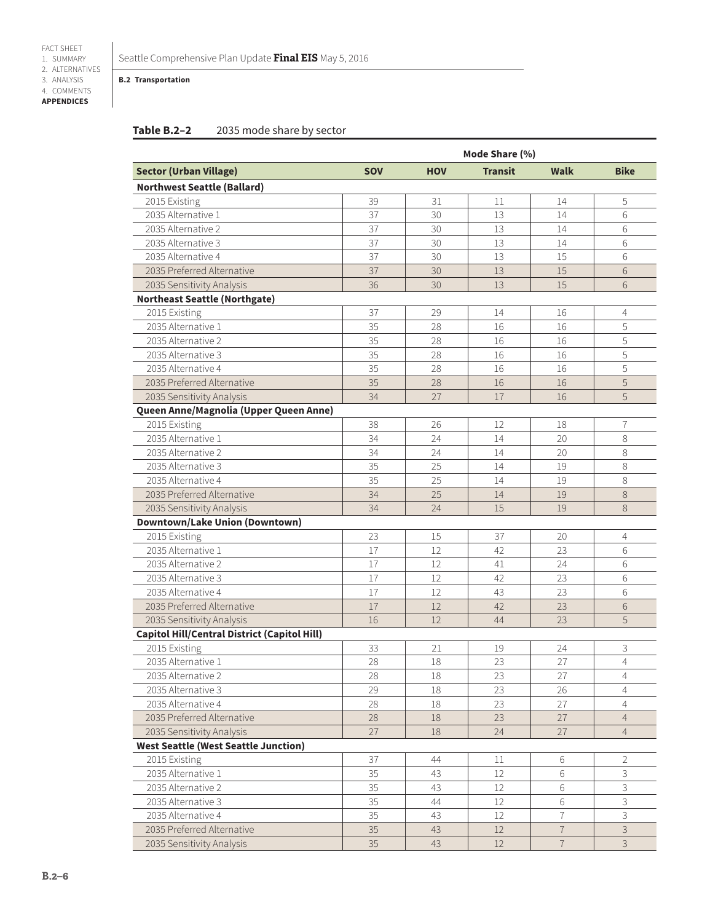**B.2 Transportation**

## **Table B.2–2** 2035 mode share by sector

|                                              | Mode Share (%) |            |                |                          |                |  |  |
|----------------------------------------------|----------------|------------|----------------|--------------------------|----------------|--|--|
| <b>Sector (Urban Village)</b>                | <b>SOV</b>     | <b>HOV</b> | <b>Transit</b> | Walk                     | <b>Bike</b>    |  |  |
| <b>Northwest Seattle (Ballard)</b>           |                |            |                |                          |                |  |  |
| 2015 Existing                                | 39             | 31         | 11             | 14                       | 5              |  |  |
| 2035 Alternative 1                           | 37             | 30         | 13             | 14                       | 6              |  |  |
| 2035 Alternative 2                           | 37             | 30         | 13             | 14                       | 6              |  |  |
| 2035 Alternative 3                           | 37             | 30         | 13             | 14                       | 6              |  |  |
| 2035 Alternative 4                           | 37             | 30         | 13             | 15                       | 6              |  |  |
| 2035 Preferred Alternative                   | 37             | 30         | 13             | 15                       | 6              |  |  |
| 2035 Sensitivity Analysis                    | 36             | 30         | 13             | 15                       | 6              |  |  |
| <b>Northeast Seattle (Northgate)</b>         |                |            |                |                          |                |  |  |
| 2015 Existing                                | 37             | 29         | 14             | 16                       | 4              |  |  |
| 2035 Alternative 1                           | 35             | 28         | 16             | 16                       | 5              |  |  |
| 2035 Alternative 2                           | 35             | 28         | 16             | 16                       | 5              |  |  |
| 2035 Alternative 3                           | 35             | 28         | 16             | 16                       | 5              |  |  |
| 2035 Alternative 4                           | 35             | 28         | 16             | 16                       | 5              |  |  |
| 2035 Preferred Alternative                   | 35             | 28         | 16             | 16                       | 5              |  |  |
| 2035 Sensitivity Analysis                    | 34             | 27         | 17             | 16                       | 5              |  |  |
| Queen Anne/Magnolia (Upper Queen Anne)       |                |            |                |                          |                |  |  |
| 2015 Existing                                | 38             | 26         | 12             | 18                       | 7              |  |  |
| 2035 Alternative 1                           | 34             | 24         | 14             | 20                       | 8              |  |  |
| 2035 Alternative 2                           | 34             | 24         | 14             | 20                       | 8              |  |  |
| 2035 Alternative 3                           | 35             | 25         | 14             | 19                       | 8              |  |  |
| 2035 Alternative 4                           | 35             | 25         | 14             | 19                       | 8              |  |  |
| 2035 Preferred Alternative                   | 34             | 25         | 14             | 19                       | 8              |  |  |
| 2035 Sensitivity Analysis                    | 34             | 24         | 15             | 19                       | 8              |  |  |
| <b>Downtown/Lake Union (Downtown)</b>        |                |            |                |                          |                |  |  |
| 2015 Existing                                | 23             | 15         | 37             | 20                       | 4              |  |  |
| 2035 Alternative 1                           | 17             | 12         | 42             | 23                       | 6              |  |  |
| 2035 Alternative 2                           | 17             | 12         | 41             | 24                       | 6              |  |  |
| 2035 Alternative 3                           | 17             | 12         | 42             | 23                       | 6              |  |  |
| 2035 Alternative 4                           | 17             | 12         | 43             | 23                       | 6              |  |  |
| 2035 Preferred Alternative                   | 17             | 12         | 42             | 23                       | 6              |  |  |
| 2035 Sensitivity Analysis                    | 16             | 12         | 44             | 23                       | 5              |  |  |
| Capitol Hill/Central District (Capitol Hill) |                |            |                |                          |                |  |  |
| 2015 Existing                                | 33             | 21         | 19             | 24                       | 3              |  |  |
| 2035 Alternative 1                           | 28             | 18         | 23             | 27                       | $\overline{4}$ |  |  |
| 2035 Alternative 2                           | 28             | 18         | 23             | 27                       | 4              |  |  |
| 2035 Alternative 3                           | 29             | 18         | 23             | 26                       | $\overline{4}$ |  |  |
| 2035 Alternative 4                           | 28             | 18         | 23             | 27                       | $\overline{4}$ |  |  |
| 2035 Preferred Alternative                   | 28             | 18         | 23             | 27                       | $\overline{4}$ |  |  |
| 2035 Sensitivity Analysis                    | 27             | 18         | 24             | 27                       | $\overline{4}$ |  |  |
| <b>West Seattle (West Seattle Junction)</b>  |                |            |                |                          |                |  |  |
| 2015 Existing                                | 37             | 44         | 11             | 6                        | 2              |  |  |
| 2035 Alternative 1                           | 35             | 43         | 12             | 6                        | 3              |  |  |
| 2035 Alternative 2                           | 35             | 43         | 12             | 6                        | 3              |  |  |
| 2035 Alternative 3                           | 35             | 44         | 12             | 6                        | 3              |  |  |
| 2035 Alternative 4                           | 35             | 43         | 12             | $\overline{7}$           | 3              |  |  |
| 2035 Preferred Alternative                   | 35             | 43         | 12             | $\overline{\mathcal{I}}$ | $\mathsf 3$    |  |  |
| 2035 Sensitivity Analysis                    | 35             | 43         | 12             | $\overline{7}$           | 3              |  |  |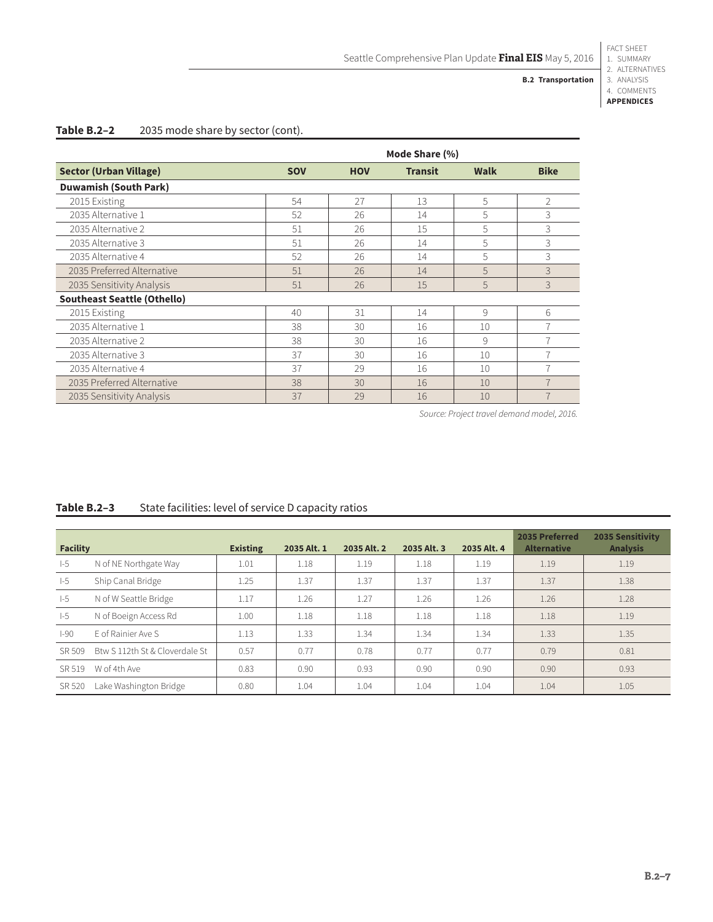**B.2 Transportation**

Seattle Comprehensive Plan Update **Final EIS** May 5, 2016

3. ANALYSIS 4. COMMENTS **APPENDICES**

## Table B.2-2 2035 mode share by sector (cont).

|                                    | Mode Share (%) |            |                |             |                |  |  |  |
|------------------------------------|----------------|------------|----------------|-------------|----------------|--|--|--|
| <b>Sector (Urban Village)</b>      | <b>SOV</b>     | <b>HOV</b> | <b>Transit</b> | <b>Walk</b> | <b>Bike</b>    |  |  |  |
| <b>Duwamish (South Park)</b>       |                |            |                |             |                |  |  |  |
| 2015 Existing                      | 54             | 27         | 13             | 5           | $\overline{2}$ |  |  |  |
| 2035 Alternative 1                 | 52             | 26         | 14             | 5           | 3              |  |  |  |
| 2035 Alternative 2                 | 51             | 26         | 15             | 5           | 3              |  |  |  |
| 2035 Alternative 3                 | 51             | 26         | 14             | 5           | 3              |  |  |  |
| 2035 Alternative 4                 | 52             | 26         | 14             | 5           | 3              |  |  |  |
| 2035 Preferred Alternative         | 51             | 26         | 14             | 5           | 3              |  |  |  |
| 2035 Sensitivity Analysis          | 51             | 26         | 15             | 5           | 3              |  |  |  |
| <b>Southeast Seattle (Othello)</b> |                |            |                |             |                |  |  |  |
| 2015 Existing                      | 40             | 31         | 14             | 9           | 6              |  |  |  |
| 2035 Alternative 1                 | 38             | 30         | 16             | 10          | $\overline{7}$ |  |  |  |
| 2035 Alternative 2                 | 38             | 30         | 16             | 9           | $\overline{7}$ |  |  |  |
| 2035 Alternative 3                 | 37             | 30         | 16             | 10          | $\overline{7}$ |  |  |  |
| 2035 Alternative 4                 | 37             | 29         | 16             | 10          | $\overline{7}$ |  |  |  |
| 2035 Preferred Alternative         | 38             | 30         | 16             | 10          | $\overline{7}$ |  |  |  |
| 2035 Sensitivity Analysis          | 37             | 29         | 16             | 10          | $\overline{7}$ |  |  |  |

*Source: Project travel demand model, 2016.*

| <b>Facility</b> |                                | <b>Existing</b> | 2035 Alt. 1 | 2035 Alt. 2 | 2035 Alt. 3 | 2035 Alt. 4 | 2035 Preferred<br><b>Alternative</b> | <b>2035 Sensitivity</b><br><b>Analysis</b> |
|-----------------|--------------------------------|-----------------|-------------|-------------|-------------|-------------|--------------------------------------|--------------------------------------------|
| $-5$            | N of NE Northgate Way          | 1.01            | 1.18        | 1.19        | 1.18        | 1.19        | 1.19                                 | 1.19                                       |
| $-5$            | Ship Canal Bridge              | 1.25            | 1.37        | 1.37        | 1.37        | 1.37        | 1.37                                 | 1.38                                       |
| $-5$            | N of W Seattle Bridge          | 1.17            | 1.26        | 1.27        | 1.26        | 1.26        | 1.26                                 | 1.28                                       |
| $-5$            | N of Boeign Access Rd          | 1.00            | 1.18        | 1.18        | 1.18        | 1.18        | 1.18                                 | 1.19                                       |
| $ -90$          | F of Rainier Ave S             | 1.13            | 1.33        | 1.34        | 1.34        | 1.34        | 1.33                                 | 1.35                                       |
| SR 509          | Btw S 112th St & Cloverdale St | 0.57            | 0.77        | 0.78        | 0.77        | 0.77        | 0.79                                 | 0.81                                       |
| SR 519          | W of 4th Ave                   | 0.83            | 0.90        | 0.93        | 0.90        | 0.90        | 0.90                                 | 0.93                                       |
| SR 520          | Lake Washington Bridge         | 0.80            | 1.04        | 1.04        | 1.04        | 1.04        | 1.04                                 | 1.05                                       |

## **Table B.2–3** State facilities: level of service D capacity ratios